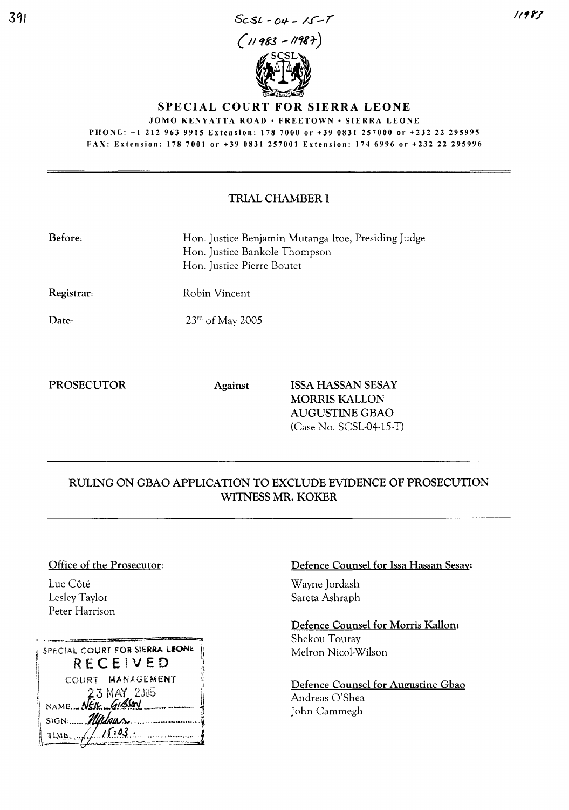

# SPECIAL COURT FOR SIERRA LEONE JOMO KENYATTA ROAD · FREETOWN · SIERRA LEONE

PHONE: +1 212 963 9915 Extension: 178 7000 or +39 0831257000 or +232 22 295995 FAX: Extension: 178 7001 or +39 0831257001 Extension: 1746996 or +232 22 295996

## TRIAL CHAMBER I

| Before:                                  | Hon. Justice Benjamin Mutanga Itoe, Presiding Judge<br>Hon. Justice Bankole Thompson<br>Hon. Justice Pierre Boutet |
|------------------------------------------|--------------------------------------------------------------------------------------------------------------------|
| $\mathbf{n}$ . The state of $\mathbf{n}$ | $\mathbf{n}$ 1. $\mathbf{v}$ .                                                                                     |

Registrar: Robin Vincent

Date:

23<sup>rd</sup> of May 2005

PROSECUTOR Against ISSA HASSAN SESAY MORRIS KALLON AUGUSTINE GBAO (Case No. SCSL-04-15-T)

# RULING ON GBAO APPLICATION TO EXCLUDE EVIDENCE OF PROSECUTION WITNESS MR. KOKER

#### Office of the Prosecutor:

Luc Côté Lesley Taylor Peter Harrison

| SPECIAL COURT FOR SIERRA LEONE<br>RECEIVED |
|--------------------------------------------|
| COURT MANAGEMENT                           |
| 23 MAY 2005<br>NAME, NEW GISSON            |
| SIGN Millean                               |
| $TIMB$ $\sqrt{1503}$ .                     |

### Defence Counsel for Issa Hassan Sesay:

Wayne Jordash Sareta Ashraph

Defence Counsel for Morris Kallon: Shekou Touray Melron Nicol-Wilson

Defence Counsel for Augustine Gbao Andreas O'Shea John Cammegh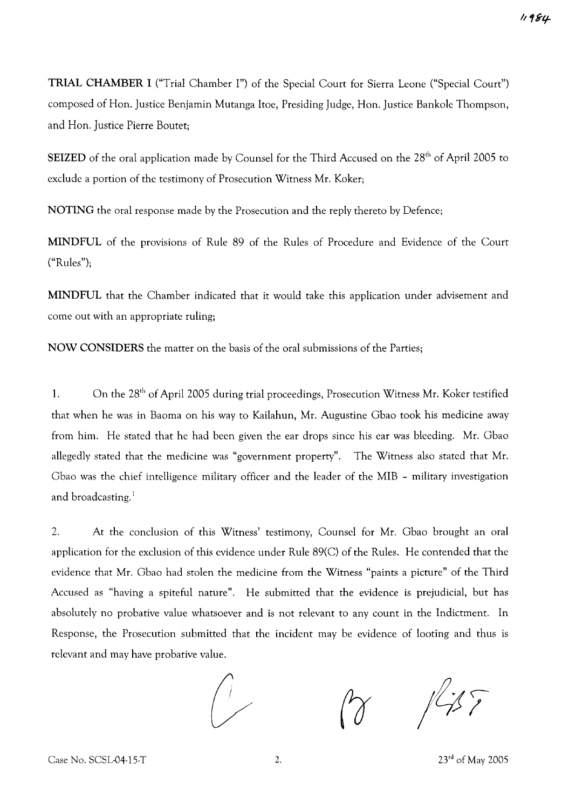TRIAL CHAMBER I ("Trial Chamber I") of the Special Court for Sierra Leone ("Special Court") composed of Hon. Justice Benjamin Mutanga !toe, Presiding Judge, Hon. Justice Bankole Thompson, and Hon. Justice Pierre Boutet;

SEIZED of the oral application made by Counsel for the Third Accused on the 28<sup>th</sup> of April 2005 to exclude a portion of the testimony of Prosecution Witness Mr. Koker;

NOTING the oral response made by the Prosecution and the reply thereto by Defence;

MINDFUL of the provisions of Rule 89 of the Rules of Procedure and Evidence of the Court ("Rules");

MINDFUL that the Chamber indicated that it would take this application under advisement and come out with an appropriate ruling;

NOW CONSIDERS the matter on the basis of the oral submissions of the Parties;

1. On the 28<sup>th</sup> of April 2005 during trial proceedings, Prosecution Witness Mr. Koker testified that when he was in Baoma on his way to Kailahun, Mr. Augustine Gbao took his medicine away from him. He stated that he had been given the ear drops since his ear was bleeding. Mr. Gbao allegedly stated that the medicine was "government property". The Witness also stated that Mr. Gbao was the chief intelligence military officer and the leader of the MIB - military investigation and broadcasting. $<sup>1</sup>$ </sup>

2. At the conclusion of this Witness' testimony, Counsel for Mr. Gbao brought an oral application for the exclusion of this evidence under Rule 89(C) of the Rules. He contended that the evidence that Mr. Gbao had stolen the medicine from the Witness "paints a picture" of the Third Accused as "having a spiteful nature". He submitted that the evidence is prejudicial, but has absolutely no probative value whatsoever and is not relevant to any count in the Indictment. In Response, the Prosecution submitted that the incident may be evidence of looting and thus is relevant and may have probative value.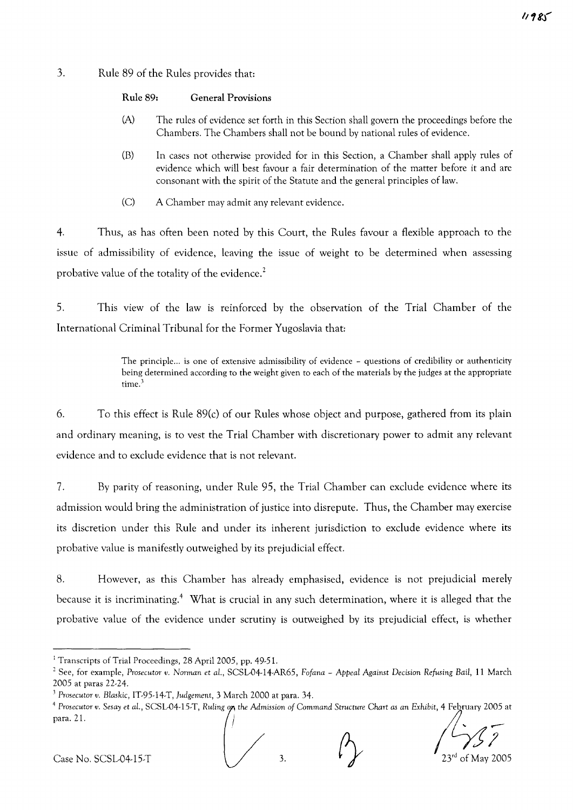### 3. Rule 89 of the Rules provides that:

- (A) The rules of evidence set forth in this Section shall govern the proceedings before the Chambers. The Chambers shall not be bound by national rules of evidence.
- (B) In cases not otherwise provided for in this Section, a Chamber shall apply rules of evidence which will best favour a fair determination of the matter before it and are consonant with the spirit of the Statute and the general principles of law.
- (C) A Chamber may admit any relevant evidence.

4. Thus, as has often been noted by this Court, the Rules favour a flexible approach to the issue of admissibility of evidence, leaving the issue of weight to be determined when assessing probative value of the totality of the evidence.<sup>2</sup>

5. This view of the law is reinforced by the observation of the Trial Chamber of the International Criminal Tribunal for the Former Yugoslavia that:

> The principle... is one of extensive admissibility of evidence - questions of credibility or authenticity being determined according to the weight given to each of the materials by the judges at the appropriate time.<sup>3</sup>

6. To this effect is Rule 89(c) of our Rules whose object and purpose, gathered from its plain and ordinary meaning, is to vest the Trial Chamber with discretionary power to admit any relevant evidence and to exclude evidence that is not relevant.

7. By parity of reasoning, under Rule 95, the Trial Chamber can exclude evidence where its admission would bring the administration of justice into disrepute. Thus, the Chamber may exercise its discretion under this Rule and under its inherent jurisdiction to exclude evidence where its probative value is manifestly outweighed by its prejudicial effect.

8. However, as this Chamber has already emphasised, evidence is not prejudicial merely because it is incriminating.<sup>4</sup> What is crucial in any such determination, where it is alleged that the probative value of the evidence under scrutiny is outweighed by its prejudicial effect, is whether

 $11980$ 

<sup>&</sup>lt;sup>1</sup> Transcripts of Trial Proceedings, 28 April 2005, pp. 49-51.

<sup>2</sup> See, for example, *Prosecutor v. Norman* et *a!',* SCSL-04-14-AR65, *Fofana* - *Appeal Against* Decision Refusing *Bait,* 11 March 2005 at paras 22-24.

<sup>3</sup> *Prosecutor v. Blaskic,* IT-95-14-T, *Judgement,* 3 March 2000 at para. 34.

Prosecutor v. Sesay et al., SCSL-04-15-T, Ruling on the Admission of Command Structure Chart as an Exhibit, 4 February 2005 at<br>para. 21.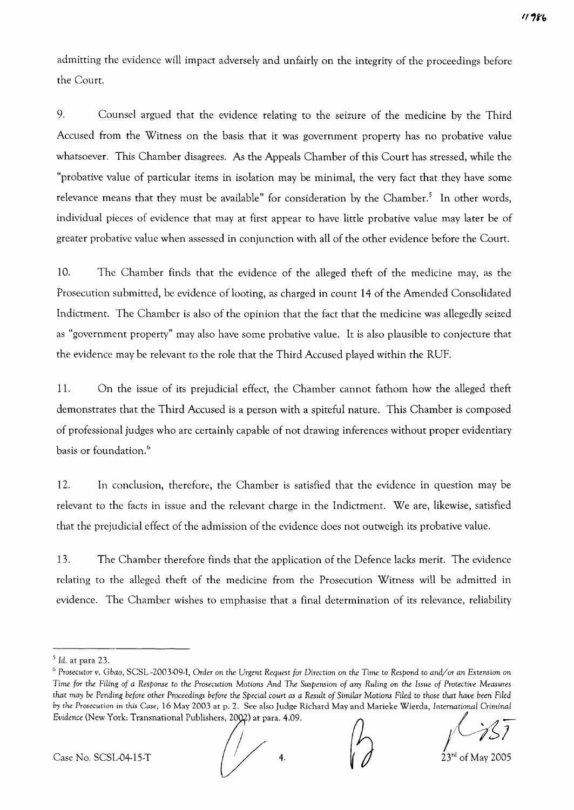admitting the evidence will impact adversely and unfairly on the integrity of the proceedings before the Court.

9. Counsel argued that the evidence relating to the seizure of the medicine by the Third Accused from the Witness on the basis that it was government property has no probative value whatsoever. This Chamber disagrees. As the Appeals Chamber of this Court has stressed, while the "probative value of particular items in isolation may be minimal, the very fact that they have some relevance means that they must be available" for consideration by the Chamber.<sup>5</sup> In other words, individual pieces of evidence that may at first appear to have little probative value may later be of greater probative value when assessed in conjunction with all of the other evidence before the Court.

10. The Chamber finds that the evidence of the alleged theft of the medicine may, as the Prosecution submitted, be evidence of looting, as charged in count 14 of the Amended Consolidated Indictment. The Chamber is also of the opinion that the fact that the medicine was allegedly seized as "government property" may also have some probative value. It is also plausible to conjecture that the evidence may be relevant to the role that the Third Accused played within the RUE

11. On the issue of its prejudicial effect, the Chamber cannot fathom how the alleged theft demonstrates that the Third Accused is a person with a spiteful nature. This Chamber is composed of professional judges who are certainly capable of not drawing inferences without proper evidentiary basis or foundation.<sup>6</sup>

12. In conclusion, therefore, the Chamber is satisfied that the evidence in question may be relevant to the facts in issue and the relevant charge in the Indictment. We are, likewise, satisfied that the prejudicial effect of the admission of the evidence does not outweigh its probative value.

13. The Chamber therefore finds that the application of the Defence lacks merit. The evidence relating to the alleged theft of the medicine from the Prosecution Witness will be admitted in evidence. The Chamber wishes to emphasise that a final determination of its relevance, reliability

 $<sup>5</sup>$  Id. at para 23.</sup>

<sup>6</sup> *Prosecutor v. Gbao,* SCSL -2003-09-1, *Order* on *the Urgent Request for* Direction on *the* Time to *Respond* to *and/or an* Extension on Time for the Filing of a Response to the Prosecution Motions And The Suspension of any Ruling on the Issue of Protective Measures that may be Pending before other Proceedings before the Special court as a Result of Similar Motions Filed to those that have been Filed by the Prosecution in this Case, 16 May 2003 at p. 2. See also Judge Richard May and Marieke Wierda, International Criminal<br>Evidence (New York: Transnational Publishers, 2002) at para. 4.09.